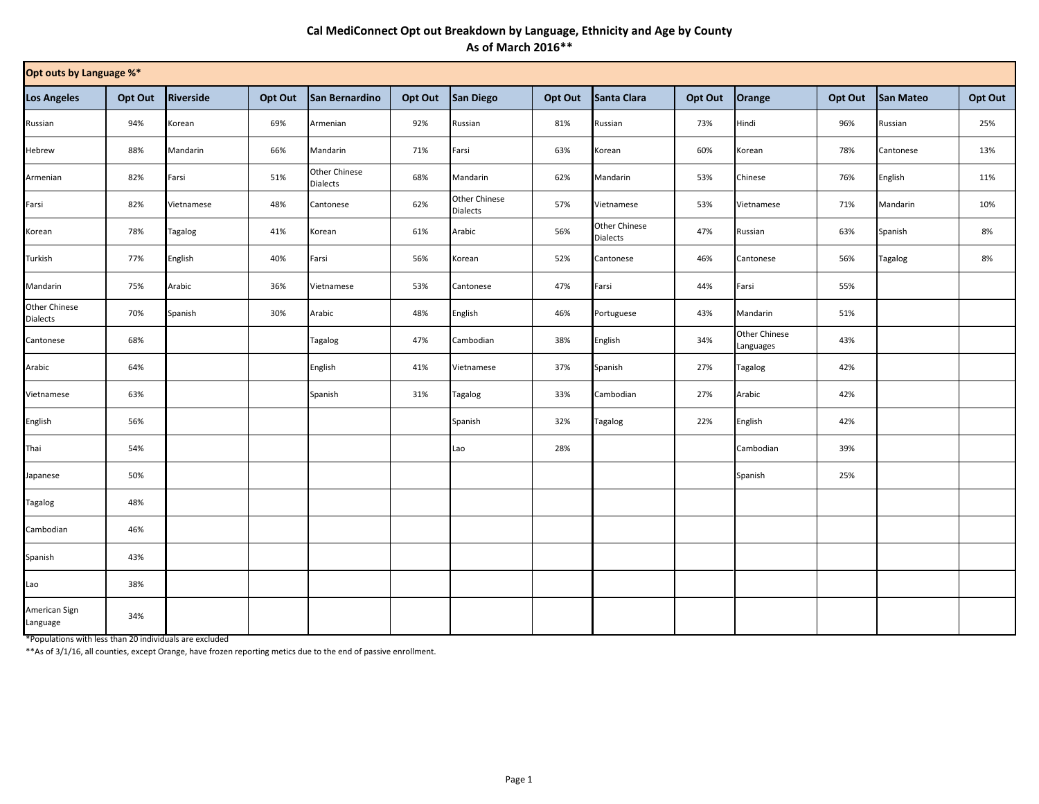## **Cal MediConnect Opt out Breakdown by Language, Ethnicity and Age by County As of March 2016\*\***

| Opt outs by Language %*   |         |            |         |                                         |         |                           |         |                                         |         |                            |         |                  |         |
|---------------------------|---------|------------|---------|-----------------------------------------|---------|---------------------------|---------|-----------------------------------------|---------|----------------------------|---------|------------------|---------|
| <b>Los Angeles</b>        | Opt Out | Riverside  | Opt Out | San Bernardino                          | Opt Out | <b>San Diego</b>          | Opt Out | Santa Clara                             | Opt Out | Orange                     | Opt Out | <b>San Mateo</b> | Opt Out |
| Russian                   | 94%     | Korean     | 69%     | Armenian                                | 92%     | Russian                   | 81%     | Russian                                 | 73%     | Hindi                      | 96%     | Russian          | 25%     |
| Hebrew                    | 88%     | Mandarin   | 66%     | Mandarin                                | 71%     | Farsi                     | 63%     | Korean                                  | 60%     | Korean                     | 78%     | Cantonese        | 13%     |
| Armenian                  | 82%     | Farsi      | 51%     | <b>Other Chinese</b><br><b>Dialects</b> | 68%     | Mandarin                  | 62%     | Mandarin                                | 53%     | Chinese                    | 76%     | English          | 11%     |
| Farsi                     | 82%     | Vietnamese | 48%     | Cantonese                               | 62%     | Other Chinese<br>Dialects | 57%     | Vietnamese                              | 53%     | Vietnamese                 | 71%     | Mandarin         | 10%     |
| Korean                    | 78%     | Tagalog    | 41%     | Korean                                  | 61%     | Arabic                    | 56%     | <b>Other Chinese</b><br><b>Dialects</b> | 47%     | Russian                    | 63%     | Spanish          | 8%      |
| Turkish                   | 77%     | English    | 40%     | Farsi                                   | 56%     | Korean                    | 52%     | Cantonese                               | 46%     | Cantonese                  | 56%     | Tagalog          | 8%      |
| Mandarin                  | 75%     | Arabic     | 36%     | Vietnamese                              | 53%     | Cantonese                 | 47%     | Farsi                                   | 44%     | Farsi                      | 55%     |                  |         |
| Other Chinese<br>Dialects | 70%     | Spanish    | 30%     | Arabic                                  | 48%     | English                   | 46%     | Portuguese                              | 43%     | Mandarin                   | 51%     |                  |         |
| Cantonese                 | 68%     |            |         | Tagalog                                 | 47%     | Cambodian                 | 38%     | English                                 | 34%     | Other Chinese<br>Languages | 43%     |                  |         |
| Arabic                    | 64%     |            |         | English                                 | 41%     | Vietnamese                | 37%     | Spanish                                 | 27%     | Tagalog                    | 42%     |                  |         |
| Vietnamese                | 63%     |            |         | Spanish                                 | 31%     | Tagalog                   | 33%     | Cambodian                               | 27%     | Arabic                     | 42%     |                  |         |
| English                   | 56%     |            |         |                                         |         | Spanish                   | 32%     | Tagalog                                 | 22%     | English                    | 42%     |                  |         |
| Thai                      | 54%     |            |         |                                         |         | Lao                       | 28%     |                                         |         | Cambodian                  | 39%     |                  |         |
| Japanese                  | 50%     |            |         |                                         |         |                           |         |                                         |         | Spanish                    | 25%     |                  |         |
| Tagalog                   | 48%     |            |         |                                         |         |                           |         |                                         |         |                            |         |                  |         |
| Cambodian                 | 46%     |            |         |                                         |         |                           |         |                                         |         |                            |         |                  |         |
| Spanish                   | 43%     |            |         |                                         |         |                           |         |                                         |         |                            |         |                  |         |
| Lao                       | 38%     |            |         |                                         |         |                           |         |                                         |         |                            |         |                  |         |
| American Sign<br>Language | 34%     |            |         |                                         |         |                           |         |                                         |         |                            |         |                  |         |

\*Populations with less than 20 individuals are excluded

\*\*As of 3/1/16, all counties, except Orange, have frozen reporting metics due to the end of passive enrollment.